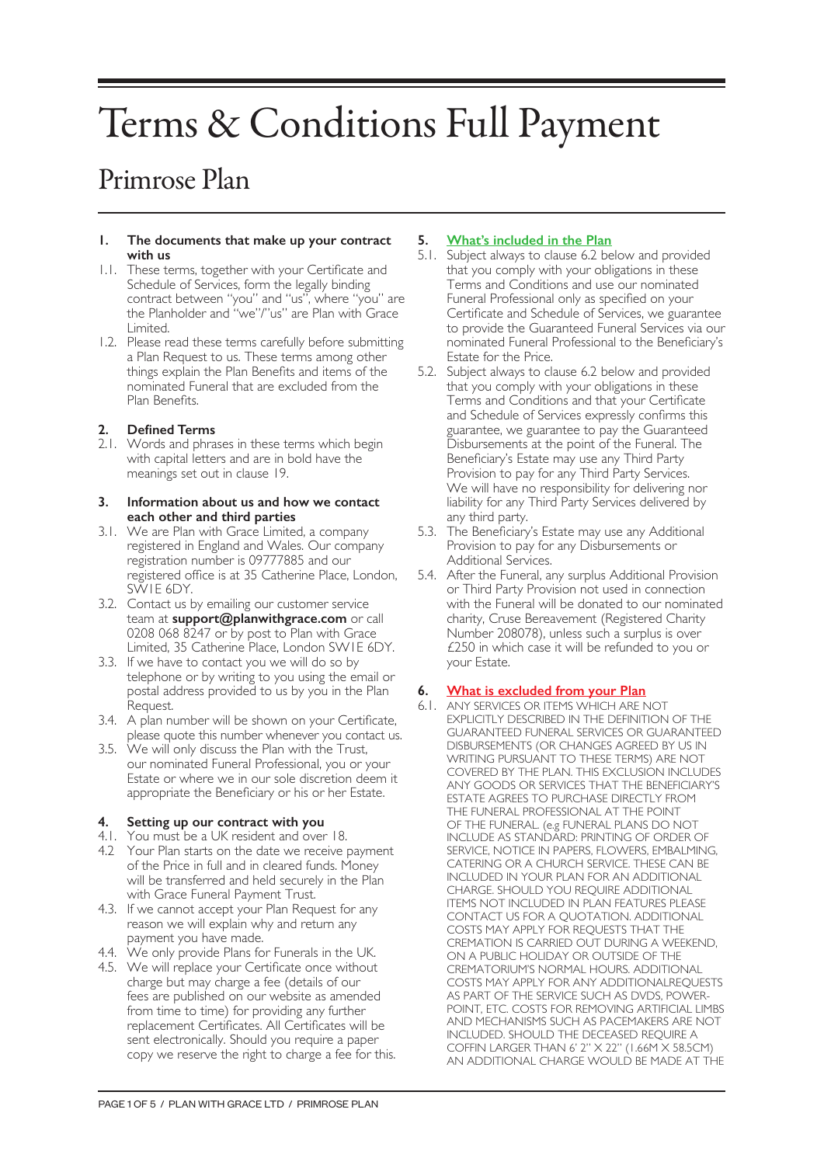# Terms & Conditions Full Payment

# Primrose Plan

#### **1. The documents that make up your contract with us**

- 1.1. These terms, together with your Certificate and Schedule of Services, form the legally binding contract between "you" and "us", where "you" are the Planholder and "we"/"us" are Plan with Grace Limited.
- 1.2. Please read these terms carefully before submitting a Plan Request to us. These terms among other things explain the Plan Benefits and items of the nominated Funeral that are excluded from the Plan Benefits.

# **2. Defined Terms**

2.1. Words and phrases in these terms which begin with capital letters and are in bold have the meanings set out in clause 19.

#### **3. Information about us and how we contact each other and third parties**

- 3.1. We are Plan with Grace Limited, a company registered in England and Wales. Our company registration number is 09777885 and our registered office is at 35 Catherine Place, London, SW1E 6DY.
- 3.2. Contact us by emailing our customer service team at **support@planwithgrace.com** or call 0208 068 8247 or by post to Plan with Grace Limited, 35 Catherine Place, London SW1E 6DY.
- 3.3. If we have to contact you we will do so by telephone or by writing to you using the email or postal address provided to us by you in the Plan Request.
- 3.4. A plan number will be shown on your Certificate, please quote this number whenever you contact us.
- 3.5. We will only discuss the Plan with the Trust, our nominated Funeral Professional, you or your Estate or where we in our sole discretion deem it appropriate the Beneficiary or his or her Estate.

# **4. Setting up our contract with you**

- 4.1. You must be a UK resident and over 18.
- 4.2 Your Plan starts on the date we receive payment of the Price in full and in cleared funds. Money will be transferred and held securely in the Plan with Grace Funeral Payment Trust.
- 4.3. If we cannot accept your Plan Request for any reason we will explain why and return any payment you have made.
- 4.4. We only provide Plans for Funerals in the UK.
- 4.5. We will replace your Certificate once without charge but may charge a fee (details of our fees are published on our website as amended from time to time) for providing any further replacement Certificates. All Certificates will be sent electronically. Should you require a paper copy we reserve the right to charge a fee for this.

# **5. What's included in the Plan**

- 5.1. Subject always to clause 6.2 below and provided that you comply with your obligations in these Terms and Conditions and use our nominated Funeral Professional only as specified on your Certificate and Schedule of Services, we guarantee to provide the Guaranteed Funeral Services via our nominated Funeral Professional to the Beneficiary's Estate for the Price.
- 5.2. Subject always to clause 6.2 below and provided that you comply with your obligations in these Terms and Conditions and that your Certificate and Schedule of Services expressly confirms this guarantee, we guarantee to pay the Guaranteed Disbursements at the point of the Funeral. The Beneficiary's Estate may use any Third Party Provision to pay for any Third Party Services. We will have no responsibility for delivering nor liability for any Third Party Services delivered by any third party.
- 5.3. The Beneficiary's Estate may use any Additional Provision to pay for any Disbursements or Additional Services.
- 5.4. After the Funeral, any surplus Additional Provision or Third Party Provision not used in connection with the Funeral will be donated to our nominated charity, Cruse Bereavement (Registered Charity Number 208078), unless such a surplus is over £250 in which case it will be refunded to you or your Estate.

# **6. What is excluded from your Plan**

6.1. ANY SERVICES OR ITEMS WHICH ARE NOT EXPLICITLY DESCRIBED IN THE DEFINITION OF THE GUARANTEED FUNERAL SERVICES OR GUARANTEED DISBURSEMENTS (OR CHANGES AGREED BY US IN WRITING PURSUANT TO THESE TERMS) ARE NOT COVERED BY THE PLAN. THIS EXCLUSION INCLUDES ANY GOODS OR SERVICES THAT THE BENEFICIARY'S ESTATE AGREES TO PURCHASE DIRECTLY FROM THE FUNERAL PROFESSIONAL AT THE POINT OF THE FUNERAL. (e.g FUNERAL PLANS DO NOT INCLUDE AS STANDARD: PRINTING OF ORDER OF SERVICE, NOTICE IN PAPERS, FLOWERS, EMBALMING, CATERING OR A CHURCH SERVICE. THESE CAN BE INCLUDED IN YOUR PLAN FOR AN ADDITIONAL CHARGE. SHOULD YOU REQUIRE ADDITIONAL ITEMS NOT INCLUDED IN PLAN FEATURES PLEASE CONTACT US FOR A QUOTATION. ADDITIONAL COSTS MAY APPLY FOR REQUESTS THAT THE CREMATION IS CARRIED OUT DURING A WEEKEND, ON A PUBLIC HOLIDAY OR OUTSIDE OF THE CREMATORIUM'S NORMAL HOURS. ADDITIONAL COSTS MAY APPLY FOR ANY ADDITIONALREQUESTS AS PART OF THE SERVICE SUCH AS DVDS, POWER-POINT, ETC. COSTS FOR REMOVING ARTIFICIAL LIMBS AND MECHANISMS SUCH AS PACEMAKERS ARE NOT INCLUDED. SHOULD THE DECEASED REQUIRE A COFFIN LARGER THAN 6' 2" X 22" (1.66M X 58.5CM) AN ADDITIONAL CHARGE WOULD BE MADE AT THE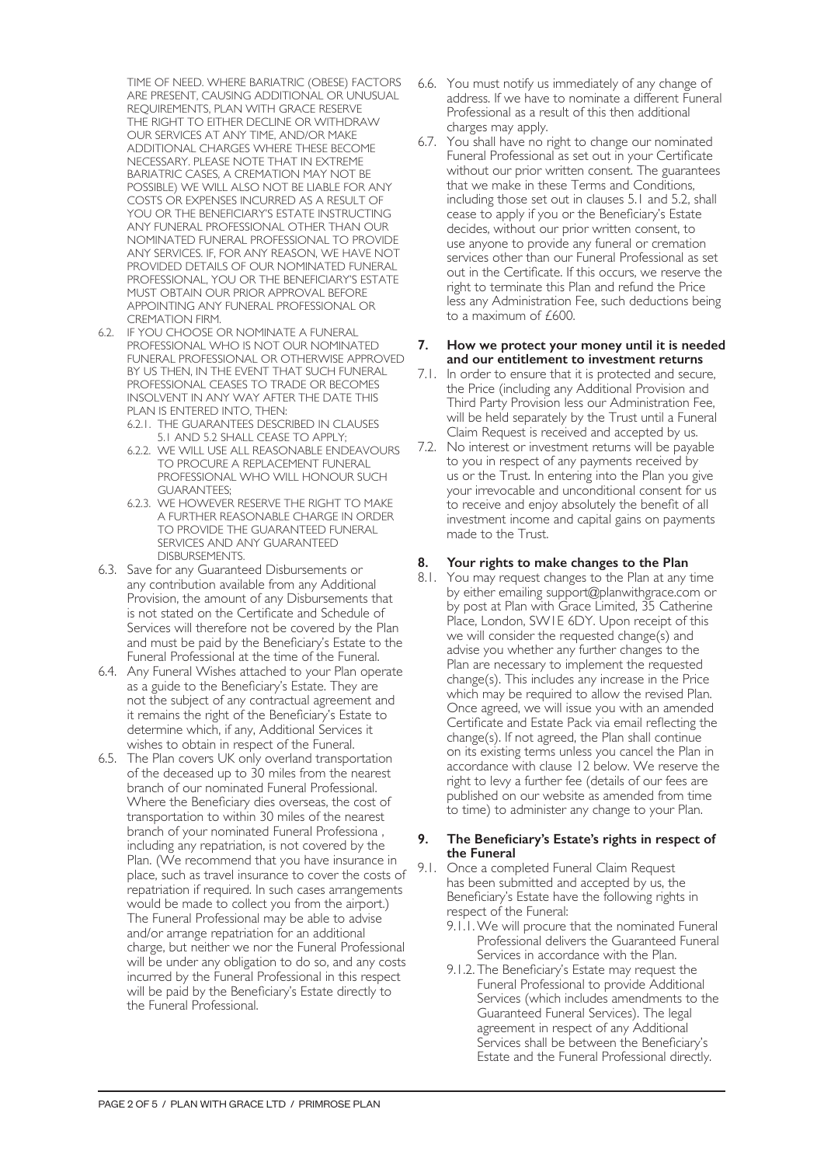TIME OF NEED. WHERE BARIATRIC (OBESE) FACTORS ARE PRESENT, CAUSING ADDITIONAL OR UNUSUAL REQUIREMENTS, PLAN WITH GRACE RESERVE THE RIGHT TO EITHER DECLINE OR WITHDRAW OUR SERVICES AT ANY TIME, AND/OR MAKE ADDITIONAL CHARGES WHERE THESE BECOME NECESSARY. PLEASE NOTE THAT IN EXTREME BARIATRIC CASES, A CREMATION MAY NOT BE POSSIBLE) WE WILL ALSO NOT BE LIABLE FOR ANY COSTS OR EXPENSES INCURRED AS A RESULT OF YOU OR THE BENEFICIARY'S ESTATE INSTRUCTING ANY FUNERAL PROFESSIONAL OTHER THAN OUR NOMINATED FUNERAL PROFESSIONAL TO PROVIDE ANY SERVICES. IF, FOR ANY REASON, WE HAVE NOT PROVIDED DETAILS OF OUR NOMINATED FUNERAL PROFESSIONAL, YOU OR THE BENEFICIARY'S ESTATE MUST OBTAIN OUR PRIOR APPROVAL BEFORE APPOINTING ANY FUNERAL PROFESSIONAL OR CREMATION FIRM.

- 6.2. IF YOU CHOOSE OR NOMINATE A FUNERAL PROFESSIONAL WHO IS NOT OUR NOMINATED FUNERAL PROFESSIONAL OR OTHERWISE APPROVED BY US THEN, IN THE EVENT THAT SUCH FUNERAL PROFESSIONAL CEASES TO TRADE OR BECOMES INSOLVENT IN ANY WAY AFTER THE DATE THIS PLAN IS ENTERED INTO, THEN:
	- 6.2.1. THE GUARANTEES DESCRIBED IN CLAUSES 5.1 AND 5.2 SHALL CEASE TO APPLY;
	- 6.2.2. WE WILL USE ALL REASONABLE ENDEAVOURS TO PROCURE A REPLACEMENT FUNERAL PROFESSIONAL WHO WILL HONOUR SUCH GUARANTEES;
	- 6.2.3. WE HOWEVER RESERVE THE RIGHT TO MAKE A FURTHER REASONABLE CHARGE IN ORDER TO PROVIDE THE GUARANTEED FUNERAL SERVICES AND ANY GUARANTEED DISBURSEMENTS.
- 6.3. Save for any Guaranteed Disbursements or any contribution available from any Additional Provision, the amount of any Disbursements that is not stated on the Certificate and Schedule of Services will therefore not be covered by the Plan and must be paid by the Beneficiary's Estate to the Funeral Professional at the time of the Funeral.
- 6.4. Any Funeral Wishes attached to your Plan operate as a guide to the Beneficiary's Estate. They are not the subject of any contractual agreement and it remains the right of the Beneficiary's Estate to determine which, if any, Additional Services it wishes to obtain in respect of the Funeral.
- 6.5. The Plan covers UK only overland transportation of the deceased up to 30 miles from the nearest branch of our nominated Funeral Professional. Where the Beneficiary dies overseas, the cost of transportation to within 30 miles of the nearest branch of your nominated Funeral Professiona , including any repatriation, is not covered by the Plan. (We recommend that you have insurance in place, such as travel insurance to cover the costs of repatriation if required. In such cases arrangements would be made to collect you from the airport.) The Funeral Professional may be able to advise and/or arrange repatriation for an additional charge, but neither we nor the Funeral Professional will be under any obligation to do so, and any costs incurred by the Funeral Professional in this respect will be paid by the Beneficiary's Estate directly to the Funeral Professional.
- 6.6. You must notify us immediately of any change of address. If we have to nominate a different Funeral Professional as a result of this then additional charges may apply.
- 6.7. You shall have no right to change our nominated Funeral Professional as set out in your Certificate without our prior written consent. The guarantees that we make in these Terms and Conditions, including those set out in clauses 5.1 and 5.2, shall cease to apply if you or the Beneficiary's Estate decides, without our prior written consent, to use anyone to provide any funeral or cremation services other than our Funeral Professional as set out in the Certificate. If this occurs, we reserve the right to terminate this Plan and refund the Price less any Administration Fee, such deductions being to a maximum of £600.

#### **7. How we protect your money until it is needed and our entitlement to investment returns**

- 7.1. In order to ensure that it is protected and secure, the Price (including any Additional Provision and Third Party Provision less our Administration Fee, will be held separately by the Trust until a Funeral Claim Request is received and accepted by us.
- 7.2. No interest or investment returns will be payable to you in respect of any payments received by us or the Trust. In entering into the Plan you give your irrevocable and unconditional consent for us to receive and enjoy absolutely the benefit of all investment income and capital gains on payments made to the Trust.

# **8. Your rights to make changes to the Plan**

8.1. You may request changes to the Plan at any time by either emailing support@planwithgrace.com or by post at Plan with Grace Limited, 35 Catherine Place, London, SW1E 6DY. Upon receipt of this we will consider the requested change(s) and advise you whether any further changes to the Plan are necessary to implement the requested change(s). This includes any increase in the Price which may be required to allow the revised Plan. Once agreed, we will issue you with an amended Certificate and Estate Pack via email reflecting the change(s). If not agreed, the Plan shall continue on its existing terms unless you cancel the Plan in accordance with clause 12 below. We reserve the right to levy a further fee (details of our fees are published on our website as amended from time to time) to administer any change to your Plan.

#### **9. The Beneficiary's Estate's rights in respect of the Funeral**

- 9.1. Once a completed Funeral Claim Request has been submitted and accepted by us, the Beneficiary's Estate have the following rights in respect of the Funeral:
	- 9.1.1.We will procure that the nominated Funeral Professional delivers the Guaranteed Funeral Services in accordance with the Plan.
	- 9.1.2. The Beneficiary's Estate may request the Funeral Professional to provide Additional Services (which includes amendments to the Guaranteed Funeral Services). The legal agreement in respect of any Additional Services shall be between the Beneficiary's Estate and the Funeral Professional directly.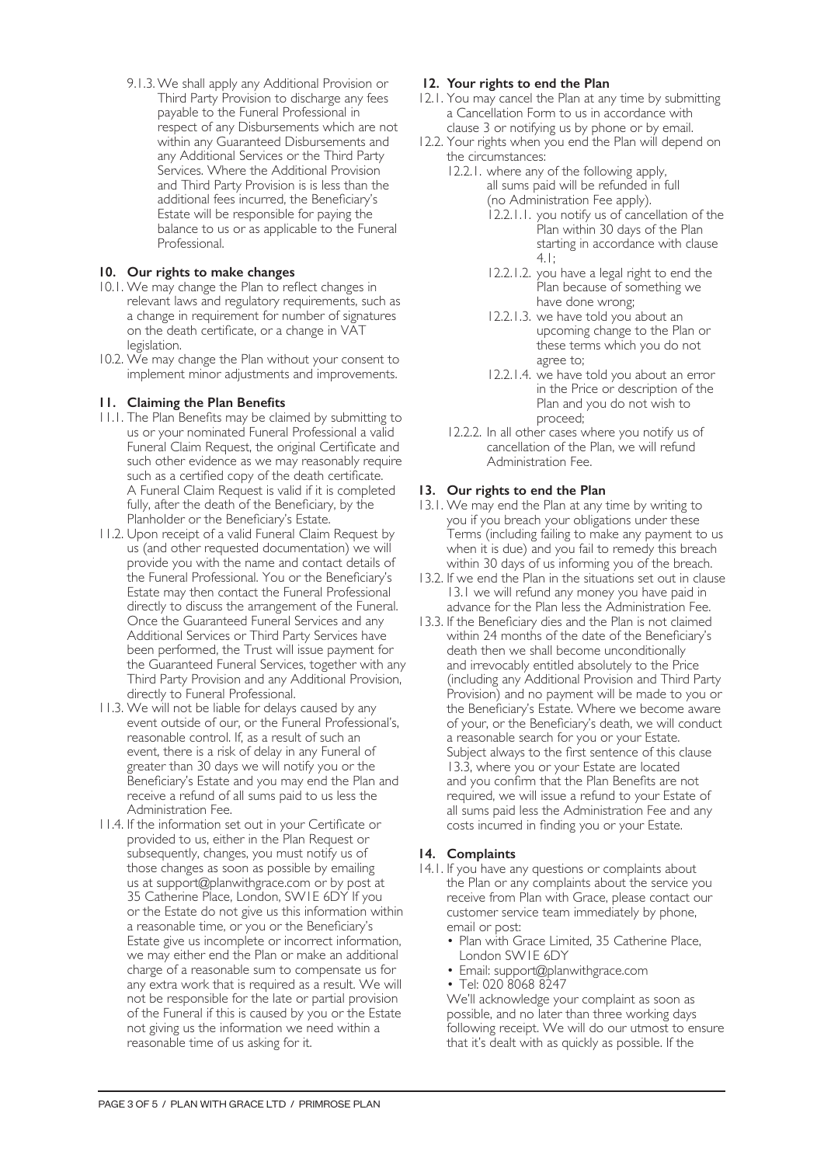9.1.3.We shall apply any Additional Provision or Third Party Provision to discharge any fees payable to the Funeral Professional in respect of any Disbursements which are not within any Guaranteed Disbursements and any Additional Services or the Third Party Services. Where the Additional Provision and Third Party Provision is is less than the additional fees incurred, the Beneficiary's Estate will be responsible for paying the balance to us or as applicable to the Funeral Professional.

# **10. Our rights to make changes**

- 10.1. We may change the Plan to reflect changes in relevant laws and regulatory requirements, such as a change in requirement for number of signatures on the death certificate, or a change in VAT legislation.
- 10.2. We may change the Plan without your consent to implement minor adjustments and improvements.

# **11. Claiming the Plan Benefits**

- 11.1. The Plan Benefits may be claimed by submitting to us or your nominated Funeral Professional a valid Funeral Claim Request, the original Certificate and such other evidence as we may reasonably require such as a certified copy of the death certificate. A Funeral Claim Request is valid if it is completed fully, after the death of the Beneficiary, by the Planholder or the Beneficiary's Estate.
- 11.2. Upon receipt of a valid Funeral Claim Request by us (and other requested documentation) we will provide you with the name and contact details of the Funeral Professional. You or the Beneficiary's Estate may then contact the Funeral Professional directly to discuss the arrangement of the Funeral. Once the Guaranteed Funeral Services and any Additional Services or Third Party Services have been performed, the Trust will issue payment for the Guaranteed Funeral Services, together with any Third Party Provision and any Additional Provision, directly to Funeral Professional.
- 11.3. We will not be liable for delays caused by any event outside of our, or the Funeral Professional's, reasonable control. If, as a result of such an event, there is a risk of delay in any Funeral of greater than 30 days we will notify you or the Beneficiary's Estate and you may end the Plan and receive a refund of all sums paid to us less the Administration Fee.
- 11.4. If the information set out in your Certificate or provided to us, either in the Plan Request or subsequently, changes, you must notify us of those changes as soon as possible by emailing us at support@planwithgrace.com or by post at 35 Catherine Place, London, SW1E 6DY If you or the Estate do not give us this information within a reasonable time, or you or the Beneficiary's Estate give us incomplete or incorrect information, we may either end the Plan or make an additional charge of a reasonable sum to compensate us for any extra work that is required as a result. We will not be responsible for the late or partial provision of the Funeral if this is caused by you or the Estate not giving us the information we need within a reasonable time of us asking for it.

# **12. Your rights to end the Plan**

- 12.1. You may cancel the Plan at any time by submitting a Cancellation Form to us in accordance with clause 3 or notifying us by phone or by email.
- 12.2. Your rights when you end the Plan will depend on the circumstances:
	- 12.2.1. where any of the following apply, all sums paid will be refunded in full (no Administration Fee apply).
		- 12.2.1.1. you notify us of cancellation of the Plan within 30 days of the Plan starting in accordance with clause 4.1;
		- 12.2.1.2. you have a legal right to end the Plan because of something we have done wrong;
		- 12.2.1.3. we have told you about an upcoming change to the Plan or these terms which you do not agree to;
		- 12.2.1.4. we have told you about an error in the Price or description of the Plan and you do not wish to proceed;
	- 12.2.2. In all other cases where you notify us of cancellation of the Plan, we will refund Administration Fee.

# **13. Our rights to end the Plan**

- 13.1. We may end the Plan at any time by writing to you if you breach your obligations under these Terms (including failing to make any payment to us when it is due) and you fail to remedy this breach within 30 days of us informing you of the breach.
- 13.2. If we end the Plan in the situations set out in clause 13.1 we will refund any money you have paid in advance for the Plan less the Administration Fee.
- 13.3. If the Beneficiary dies and the Plan is not claimed within 24 months of the date of the Beneficiary's death then we shall become unconditionally and irrevocably entitled absolutely to the Price (including any Additional Provision and Third Party Provision) and no payment will be made to you or the Beneficiary's Estate. Where we become aware of your, or the Beneficiary's death, we will conduct a reasonable search for you or your Estate. Subject always to the first sentence of this clause 13.3, where you or your Estate are located and you confirm that the Plan Benefits are not required, we will issue a refund to your Estate of all sums paid less the Administration Fee and any costs incurred in finding you or your Estate.

### **14. Complaints**

- 14.1. If you have any questions or complaints about the Plan or any complaints about the service you receive from Plan with Grace, please contact our customer service team immediately by phone, email or post:
	- Plan with Grace Limited, 35 Catherine Place, London SW1E 6DY
	- Email: support@planwithgrace.com
	- Tel: 020 8068 8247

We'll acknowledge your complaint as soon as possible, and no later than three working days following receipt. We will do our utmost to ensure that it's dealt with as quickly as possible. If the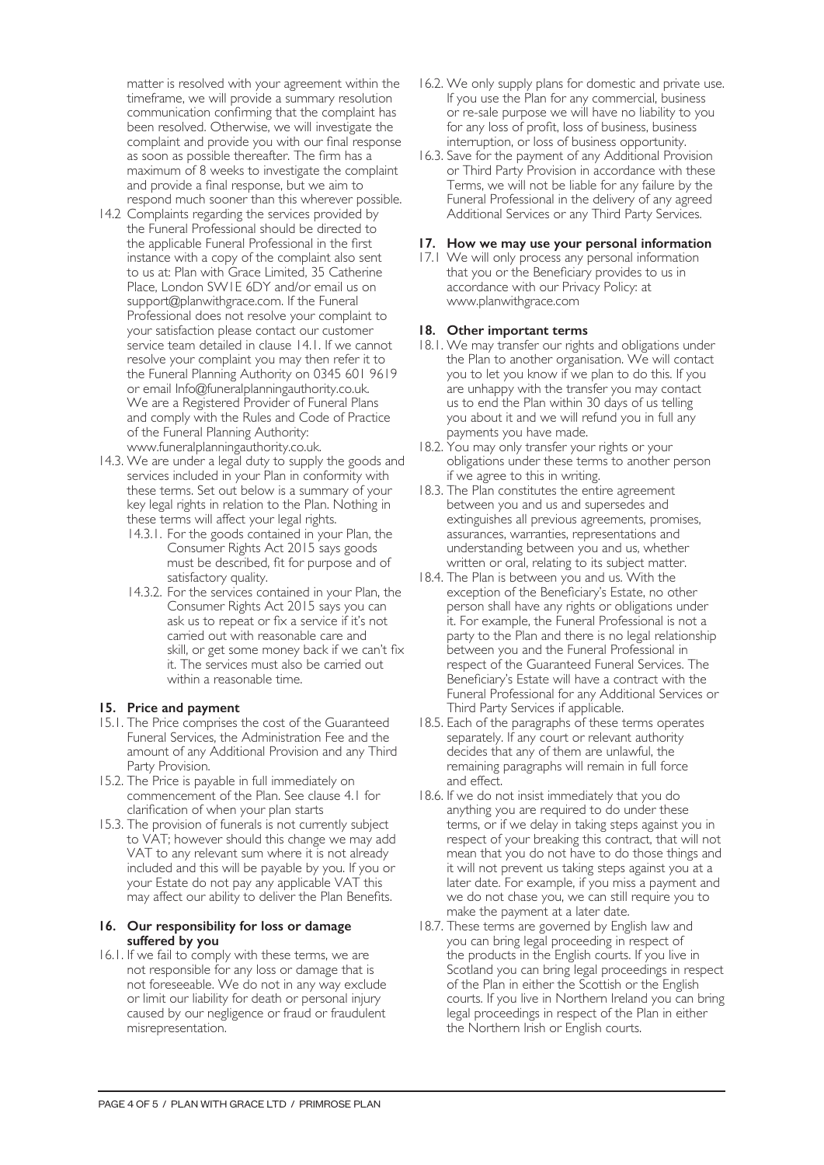matter is resolved with your agreement within the timeframe, we will provide a summary resolution communication confirming that the complaint has been resolved. Otherwise, we will investigate the complaint and provide you with our final response as soon as possible thereafter. The firm has a maximum of 8 weeks to investigate the complaint and provide a final response, but we aim to respond much sooner than this wherever possible.

- 14.2 Complaints regarding the services provided by the Funeral Professional should be directed to the applicable Funeral Professional in the first instance with a copy of the complaint also sent to us at: Plan with Grace Limited, 35 Catherine Place, London SW1E 6DY and/or email us on support@planwithgrace.com. If the Funeral Professional does not resolve your complaint to your satisfaction please contact our customer service team detailed in clause 14.1. If we cannot resolve your complaint you may then refer it to the Funeral Planning Authority on 0345 601 9619 or email Info@funeralplanningauthority.co.uk. We are a Registered Provider of Funeral Plans and comply with the Rules and Code of Practice of the Funeral Planning Authority: www.funeralplanningauthority.co.uk.
- 14.3. We are under a legal duty to supply the goods and services included in your Plan in conformity with these terms. Set out below is a summary of your key legal rights in relation to the Plan. Nothing in these terms will affect your legal rights.
	- 14.3.1. For the goods contained in your Plan, the Consumer Rights Act 2015 says goods must be described, fit for purpose and of satisfactory quality.
	- 14.3.2. For the services contained in your Plan, the Consumer Rights Act 2015 says you can ask us to repeat or fix a service if it's not carried out with reasonable care and skill, or get some money back if we can't fix it. The services must also be carried out within a reasonable time.

### **15. Price and payment**

- 15.1. The Price comprises the cost of the Guaranteed Funeral Services, the Administration Fee and the amount of any Additional Provision and any Third Party Provision.
- 15.2. The Price is payable in full immediately on commencement of the Plan. See clause 4.1 for clarification of when your plan starts
- 15.3. The provision of funerals is not currently subject to VAT; however should this change we may add VAT to any relevant sum where it is not already included and this will be payable by you. If you or your Estate do not pay any applicable VAT this may affect our ability to deliver the Plan Benefits.

#### **16. Our responsibility for loss or damage suffered by you**

16.1. If we fail to comply with these terms, we are not responsible for any loss or damage that is not foreseeable. We do not in any way exclude or limit our liability for death or personal injury caused by our negligence or fraud or fraudulent misrepresentation.

- 16.2. We only supply plans for domestic and private use. If you use the Plan for any commercial, business or re-sale purpose we will have no liability to you for any loss of profit, loss of business, business interruption, or loss of business opportunity.
- 16.3. Save for the payment of any Additional Provision or Third Party Provision in accordance with these Terms, we will not be liable for any failure by the Funeral Professional in the delivery of any agreed Additional Services or any Third Party Services.

## **17. How we may use your personal information**

17.1 We will only process any personal information that you or the Beneficiary provides to us in accordance with our Privacy Policy: at www.planwithgrace.com

# **18. Other important terms**

- 18.1. We may transfer our rights and obligations under the Plan to another organisation. We will contact you to let you know if we plan to do this. If you are unhappy with the transfer you may contact us to end the Plan within 30 days of us telling you about it and we will refund you in full any payments you have made.
- 18.2. You may only transfer your rights or your obligations under these terms to another person if we agree to this in writing.
- 18.3. The Plan constitutes the entire agreement between you and us and supersedes and extinguishes all previous agreements, promises, assurances, warranties, representations and understanding between you and us, whether written or oral, relating to its subject matter.
- 18.4. The Plan is between you and us. With the exception of the Beneficiary's Estate, no other person shall have any rights or obligations under it. For example, the Funeral Professional is not a party to the Plan and there is no legal relationship between you and the Funeral Professional in respect of the Guaranteed Funeral Services. The Beneficiary's Estate will have a contract with the Funeral Professional for any Additional Services or Third Party Services if applicable.
- 18.5. Each of the paragraphs of these terms operates separately. If any court or relevant authority decides that any of them are unlawful, the remaining paragraphs will remain in full force and effect.
- 18.6. If we do not insist immediately that you do anything you are required to do under these terms, or if we delay in taking steps against you in respect of your breaking this contract, that will not mean that you do not have to do those things and it will not prevent us taking steps against you at a later date. For example, if you miss a payment and we do not chase you, we can still require you to make the payment at a later date.
- 18.7. These terms are governed by English law and you can bring legal proceeding in respect of the products in the English courts. If you live in Scotland you can bring legal proceedings in respect of the Plan in either the Scottish or the English courts. If you live in Northern Ireland you can bring legal proceedings in respect of the Plan in either the Northern Irish or English courts.